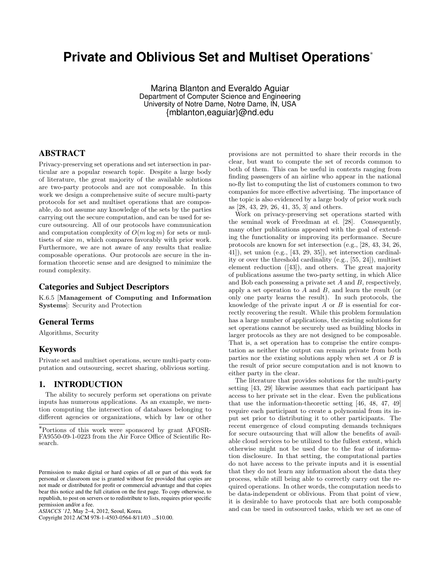# **Private and Oblivious Set and Multiset Operations**<sup>∗</sup>

Marina Blanton and Everaldo Aguiar Department of Computer Science and Engineering University of Notre Dame, Notre Dame, IN, USA {mblanton,eaguiar}@nd.edu

# ABSTRACT

Privacy-preserving set operations and set intersection in particular are a popular research topic. Despite a large body of literature, the great majority of the available solutions are two-party protocols and are not composable. In this work we design a comprehensive suite of secure multi-party protocols for set and multiset operations that are composable, do not assume any knowledge of the sets by the parties carrying out the secure computation, and can be used for secure outsourcing. All of our protocols have communication and computation complexity of  $O(m \log m)$  for sets or multisets of size m, which compares favorably with prior work. Furthermore, we are not aware of any results that realize composable operations. Our protocols are secure in the information theoretic sense and are designed to minimize the round complexity.

#### Categories and Subject Descriptors

K.6.5 [Management of Computing and Information Systems]: Security and Protection

#### General Terms

Algorithms, Security

## Keywords

Private set and multiset operations, secure multi-party computation and outsourcing, secret sharing, oblivious sorting.

#### 1. INTRODUCTION

The ability to securely perform set operations on private inputs has numerous applications. As an example, we mention computing the intersection of databases belonging to different agencies or organizations, which by law or other

Copyright 2012 ACM 978-1-4503-0564-8/11/03 ...\$10.00.

provisions are not permitted to share their records in the clear, but want to compute the set of records common to both of them. This can be useful in contexts ranging from finding passengers of an airline who appear in the national no-fly list to computing the list of customers common to two companies for more effective advertising. The importance of the topic is also evidenced by a large body of prior work such as [28, 43, 29, 26, 41, 35, 3] and others.

Work on privacy-preserving set operations started with the seminal work of Freedman at el. [28]. Consequently, many other publications appeared with the goal of extending the functionality or improving its performance. Secure protocols are known for set intersection (e.g., [28, 43, 34, 26, 41]), set union (e.g., [43, 29, 35]), set intersection cardinality or over the threshold cardinality (e.g., [55, 24]), multiset element reduction ([43]), and others. The great majority of publications assume the two-party setting, in which Alice and Bob each possessing a private set A and B, respectively, apply a set operation to  $A$  and  $B$ , and learn the result (or only one party learns the result). In such protocols, the knowledge of the private input  $\ddot{A}$  or  $\ddot{B}$  is essential for correctly recovering the result. While this problem formulation has a large number of applications, the existing solutions for set operations cannot be securely used as building blocks in larger protocols as they are not designed to be composable. That is, a set operation has to comprise the entire computation as neither the output can remain private from both parties nor the existing solutions apply when set  $A$  or  $B$  is the result of prior secure computation and is not known to either party in the clear.

The literature that provides solutions for the multi-party setting [43, 29] likewise assumes that each participant has access to her private set in the clear. Even the publications that use the information-theoretic setting [46, 48, 47, 49] require each participant to create a polynomial from its input set prior to distributing it to other participants. The recent emergence of cloud computing demands techniques for secure outsourcing that will allow the benefits of available cloud services to be utilized to the fullest extent, which otherwise might not be used due to the fear of information disclosure. In that setting, the computational parties do not have access to the private inputs and it is essential that they do not learn any information about the data they process, while still being able to correctly carry out the required operations. In other words, the computation needs to be data-independent or oblivious. From that point of view, it is desirable to have protocols that are both composable and can be used in outsourced tasks, which we set as one of

<sup>∗</sup>Portions of this work were sponsored by grant AFOSR-FA9550-09-1-0223 from the Air Force Office of Scientific Research.

Permission to make digital or hard copies of all or part of this work for personal or classroom use is granted without fee provided that copies are not made or distributed for profit or commercial advantage and that copies bear this notice and the full citation on the first page. To copy otherwise, to republish, to post on servers or to redistribute to lists, requires prior specific permission and/or a fee.

*ASIACCS '12,* May 2–4, 2012, Seoul, Korea.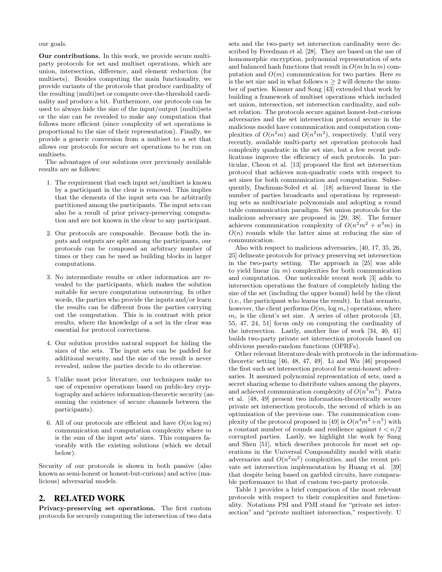our goals.

Our contributions. In this work, we provide secure multiparty protocols for set and multiset operations, which are union, intersection, difference, and element reduction (for multisets). Besides computing the main functionality, we provide variants of the protocols that produce cardinality of the resulting (multi)set or compute over-the-threshold cardinality and produce a bit. Furthermore, our protocols can be used to always hide the size of the input/output (multi)sets or the size can be revealed to make any computation that follows more efficient (since complexity of set operations is proportional to the size of their representation). Finally, we provide a generic conversion from a multiset to a set that allows our protocols for secure set operations to be run on multisets.

The advantages of our solutions over previously available results are as follows:

- 1. The requirement that each input set/multiset is known by a participant in the clear is removed. This implies that the elements of the input sets can be arbitrarily partitioned among the participants. The input sets can also be a result of prior privacy-preserving computation and are not known in the clear to any participant.
- 2. Our protocols are composable. Because both the inputs and outputs are split among the participants, our protocols can be composed an arbitrary number of times or they can be used as building blocks in larger computations.
- 3. No intermediate results or other information are revealed to the participants, which makes the solution suitable for secure computation outsourcing. In other words, the parties who provide the inputs and/or learn the results can be different from the parties carrying out the computation. This is in contrast with prior results, where the knowledge of a set in the clear was essential for protocol correctness.
- 4. Our solution provides natural support for hiding the sizes of the sets. The input sets can be padded for additional security, and the size of the result is never revealed, unless the parties decide to do otherwise.
- 5. Unlike most prior literature, our techniques make no use of expensive operations based on public-key cryptography and achieve information-theoretic security (assuming the existence of secure channels between the participants).
- 6. All of our protocols are efficient and have  $O(m \log m)$ communication and computation complexity where m is the sum of the input sets' sizes. This compares favorably with the existing solutions (which we detail below).

Security of our protocols is shown in both passive (also known as semi-honest or honest-but-curious) and active (malicious) adversarial models.

## 2. RELATED WORK

Privacy-preserving set operations. The first custom protocols for securely computing the intersection of two data

sets and the two-party set intersection cardinality were described by Freedman et al. [28]. They are based on the use of homomorphic encryption, polynomial representation of sets and balanced hash functions that result in  $O(m \ln \ln m)$  computation and  $O(m)$  communication for two parties. Here m is the set size and in what follows  $n \geq 2$  will denote the number of parties. Kissner and Song [43] extended that work by building a framework of multiset operations which included set union, intersection, set intersection cardinality, and subset relation. The protocols secure against honest-but-curious adversaries and the set intersection protocol secure in the malicious model have communication and computation complexities of  $O(n^2m)$  and  $O(n^2m^2)$ , respectively. Until very recently, available multi-party set operation protocols had complexity quadratic in the set size, but a few recent publications improve the efficiency of such protocols. In particular, Cheon et al. [13] proposed the first set intersection protocol that achieves non-quadratic costs with respect to set sizes for both communication and computation. Subsequently, Dachman-Soled et al. [18] achieved linear in the number of parties broadcasts and operations by representing sets as multivariate polynomials and adopting a round table communication paradigm. Set union protocols for the malicious adversary are proposed in [29, 38]. The former achieves communication complexity of  $O(n^2m^2 + n^3m)$  in  $O(n)$  rounds while the latter aims at reducing the size of communication.

Also with respect to malicious adversaries, [40, 17, 35, 26, 25] delineate protocols for privacy preserving set intersection in the two-party setting. The approach in [25] was able to yield linear (in  $m$ ) complexities for both communication and computation. One noticeable recent work [3] adds to intersection operations the feature of completely hiding the size of the set (including the upper bound) held by the client (i.e., the participant who learns the result). In that scenario, however, the client performs  $O(m_c \log m_c)$  operations, where  $m_c$  is the client's set size. A series of other protocols [43, 55, 47, 24, 51] focus only on computing the cardinality of the intersection. Lastly, another line of work [34, 40, 41] builds two-party private set intersection protocols based on oblivious pseudo-random functions (OPRFs).

Other relevant literature deals with protocols in the informationtheoretic setting [46, 48, 47, 49]. Li and Wu [46] proposed the first such set intersection protocol for semi-honest adversaries. It assumed polynomial representation of sets, used a secret sharing scheme to distribute values among the players, and achieved communication complexity of  $O(n^3m^2)$ . Patra et al. [48, 49] present two information-theoretically secure private set intersection protocols, the second of which is an optimization of the previous one. The communication complexity of the protocol proposed in [49] is  $O(n^4m^2 + n^5)$  with a constant number of rounds and resilience against  $t < n/2$ corrupted parties. Lastly, we highlight the work by Sang and Shen [51], which describes protocols for most set operations in the Universal Composability model with static adversaries and  $O(n^2m^2)$  complexities, and the recent private set intersection implementation by Huang et al. [39] that despite being based on garbled circuits, have comparable performance to that of custom two-party protocols.

Table 1 provides a brief comparison of the most relevant protocols with respect to their complexities and functionality. Notations PSI and PMI stand for "private set intersection" and "private multiset intersection," respectively. U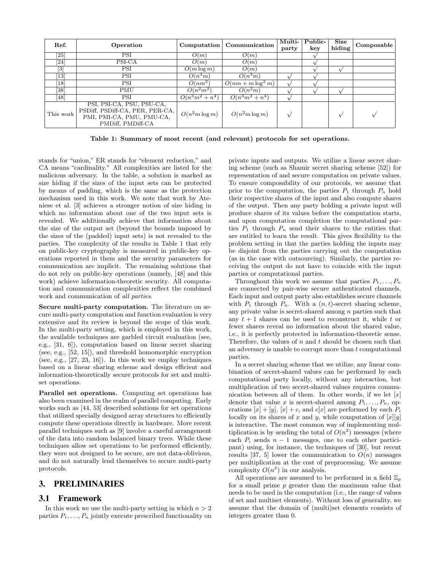| Ref.               | Operation                                                                                                      | Computation       | Communication        | Multi-<br>party | Public-<br>key | Size<br>hiding | Composable |
|--------------------|----------------------------------------------------------------------------------------------------------------|-------------------|----------------------|-----------------|----------------|----------------|------------|
| $\left[ 25\right]$ | PSI                                                                                                            | O(m)              | O(m)                 |                 |                |                |            |
| [24                | PSI-CA                                                                                                         | O(m)              | O(m)                 |                 |                |                |            |
| $\lceil 3 \rceil$  | PSI                                                                                                            | $O(m \log m)$     | O(m)                 |                 |                |                |            |
| 13                 | PSI                                                                                                            | $O(n^3m)$         | $O(n^3m)$            |                 |                |                |            |
| <sup>18</sup>      | PSI                                                                                                            | $O(nm^2)$         | $O(nm + m \log^2 m)$ |                 |                |                |            |
| [38]               | <b>PMU</b>                                                                                                     | $O(n^2m^2)$       | $O(n^2m)$            |                 |                |                |            |
| [48]               | <b>PSI</b>                                                                                                     | $O(n^3m^2 + n^4)$ | $O(n^3m^2 + n^4)$    |                 |                |                |            |
| This work          | PSI, PSI-CA, PSU, PSU-CA,<br>PSDiff, PSDiff-CA, PER, PER-CA,<br>PMI, PMI-CA, PMU, PMU-CA,<br>PMDiff, PMDiff-CA | $O(n^2m\log m)$   | $O(n^2m\log m)$      |                 |                |                |            |

Table 1: Summary of most recent (and relevant) protocols for set operations.

stands for "union," ER stands for "element reduction," and CA means "cardinality." All complexities are listed for the malicious adversary. In the table, a solution is marked as size hiding if the sizes of the input sets can be protected by means of padding, which is the same as the protection mechanism used in this work. We note that work by Ateniese et al. [3] achieves a stronger notion of size hiding in which no information about one of the two input sets is revealed. We additionally achieve that information about the size of the output set (beyond the bounds imposed by the sizes of the (padded) input sets) is not revealed to the parties. The complexity of the results in Table 1 that rely on public-key cryptography is measured in public-key operations reported in them and the security parameters for communication are implicit. The remaining solutions that do not rely on public-key operations (namely, [48] and this work) achieve information-theoretic security. All computation and communication complexities reflect the combined work and communication of all parties.

Secure multi-party computation. The literature on secure multi-party computation and function evaluation is very extensive and its review is beyond the scope of this work. In the multi-party setting, which is employed in this work, the available techniques are garbled circuit evaluation (see, e.g., [31, 6]), computation based on linear secret sharing (see, e.g., [52, 15]), and threshold homomorphic encryption (see, e.g., [27, 23, 16]). In this work we employ techniques based on a linear sharing scheme and design efficient and information-theoretically secure protocols for set and multiset operations.

Parallel set operations. Computing set operations has also been examined in the realm of parallel computing. Early works such as [44, 53] described solutions for set operations that utilized specially designed array structures to efficiently compute these operations directly in hardware. More recent parallel techniques such as [9] involve a careful arrangement of the data into random balanced binary trees. While these techniques allow set operations to be performed efficiently, they were not designed to be secure, are not data-oblivious, and do not naturally lend themselves to secure multi-party protocols.

# 3. PRELIMINARIES

## 3.1 Framework

In this work we use the multi-party setting in which  $n > 2$ parties  $P_1, \ldots, P_n$  jointly execute prescribed functionality on private inputs and outputs. We utilize a linear secret sharing scheme (such as Shamir secret sharing scheme [52]) for representation of and secure computation on private values. To ensure composability of our protocols, we assume that prior to the computation, the parties  $P_1$  through  $P_n$  hold their respective shares of the input and also compute shares of the output. Then any party holding a private input will produce shares of its values before the computation starts, and upon computation completion the computational parties  $P_1$  through  $P_n$  send their shares to the entities that are entitled to learn the result. This gives flexibility to the problem setting in that the parties holding the inputs may be disjoint from the parties carrying out the computation (as in the case with outsourcing). Similarly, the parties receiving the output do not have to coincide with the input parties or computational parties.

Throughout this work we assume that parties  $P_1, \ldots, P_n$ are connected by pair-wise secure authenticated channels. Each input and output party also establishes secure channels with  $P_1$  through  $P_n$ . With a  $(n, t)$ -secret sharing scheme, any private value is secret-shared among  $n$  parties such that any  $t + 1$  shares can be used to reconstruct it, while t or fewer shares reveal no information about the shared value, i.e., it is perfectly protected in information-theoretic sense. Therefore, the values of  $n$  and  $t$  should be chosen such that an adversary is unable to corrupt more than  $t$  computational parties.

In a secret sharing scheme that we utilize, any linear combination of secret-shared values can be performed by each computational party locally, without any interaction, but multiplication of two secret-shared values requires communication between all of them. In other words, if we let  $[x]$ denote that value x is secret-shared among  $P_1, \ldots, P_n$ , operations  $[x] + [y]$ ,  $[x] + c$ , and  $c[x]$  are performed by each  $P_i$ locally on its shares of x and y, while computation of  $[x][y]$ is interactive. The most common way of implementing multiplication is by sending the total of  $O(n^2)$  messages (where each  $P_i$  sends  $n-1$  messages, one to each other participant) using, for instance, the techniques of [30], but recent results [37, 5] lower the communication to  $O(n)$  messages per multiplication at the cost of preprocessing. We assume complexity  $O(n^2)$  in our analysis.

All operations are assumed to be performed in a field  $\mathbb{Z}_p$ for a small prime p greater than the maximum value that needs to be used in the computation (i.e., the range of values of set and multiset elements). Without loss of generality, we assume that the domain of (multi)set elements consists of integers greater than 0.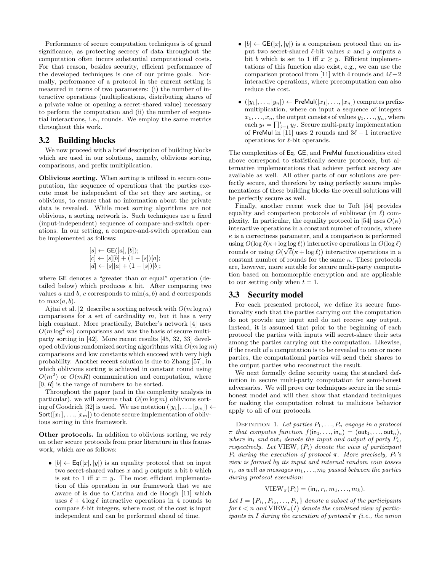Performance of secure computation techniques is of grand significance, as protecting secrecy of data throughout the computation often incurs substantial computational costs. For that reason, besides security, efficient performance of the developed techniques is one of our prime goals. Normally, performance of a protocol in the current setting is measured in terms of two parameters: (i) the number of interactive operations (multiplications, distributing shares of a private value or opening a secret-shared value) necessary to perform the computation and (ii) the number of sequential interactions, i.e., rounds. We employ the same metrics throughout this work.

#### 3.2 Building blocks

We now proceed with a brief description of building blocks which are used in our solutions, namely, oblivious sorting, comparisons, and prefix multiplication.

Oblivious sorting. When sorting is utilized in secure computation, the sequence of operations that the parties execute must be independent of the set they are sorting, or oblivious, to ensure that no information about the private data is revealed. While most sorting algorithms are not oblivious, a sorting network is. Such techniques use a fixed (input-independent) sequence of compare-and-switch operations. In our setting, a compare-and-switch operation can be implemented as follows:

$$
[s] \leftarrow \text{GE}([a], [b]);
$$
  

$$
[c] \leftarrow [s][b] + (1 - [s])[a];
$$
  

$$
[d] \leftarrow [s][a] + (1 - [s])[b];
$$

where GE denotes a "greater than or equal" operation (detailed below) which produces a bit. After comparing two values a and b, c corresponds to  $\min(a, b)$  and d corresponds to  $max(a, b)$ .

Ajtai et al. [2] describe a sorting network with  $O(m \log m)$ comparisons for a set of cardinality  $m$ , but it has a very high constant. More practically, Batcher's network [4] uses  $O(m \log^2 m)$  comparisons and was the basis of secure multiparty sorting in [42]. More recent results [45, 32, 33] developed oblivious randomized sorting algorithms with  $O(m \log m)$ comparisons and low constants which succeed with very high probability. Another recent solution is due to Zhang [57], in which oblivious sorting is achieved in constant round using  $O(m^2)$  or  $O(mR)$  communication and computation, where  $[0, R]$  is the range of numbers to be sorted.

Throughout the paper (and in the complexity analysis in particular), we will assume that  $O(m \log m)$  oblivious sorting of Goodrich [32] is used. We use notation  $([y_1], \ldots, [y_m]) \leftarrow$  $\textsf{Sort}([x_1], \ldots, [x_m])$  to denote secure implementation of oblivious sorting in this framework.

Other protocols. In addition to oblivious sorting, we rely on other secure protocols from prior literature in this framework, which are as follows:

•  $[b] \leftarrow \mathsf{Eq}([x], [y])$  is an equality protocol that on input two secret-shared values  $x$  and  $y$  outputs a bit  $b$  which is set to 1 iff  $x = y$ . The most efficient implementation of this operation in our framework that we are aware of is due to Catrina and de Hoogh [11] which uses  $\ell + 4 \log \ell$  interactive operations in 4 rounds to compare  $\ell$ -bit integers, where most of the cost is input independent and can be performed ahead of time.

- $[b] \leftarrow$  GE([x], [y]) is a comparison protocol that on input two secret-shared  $\ell$ -bit values x and y outputs a bit b which is set to 1 iff  $x \geq y$ . Efficient implementations of this function also exist, e.g., we can use the comparison protocol from [11] with 4 rounds and  $4\ell$ −2 interactive operations, where precomputation can also reduce the cost.
- $([y_1], \ldots, [y_n]) \leftarrow \mathsf{PreMul}([x_1], \ldots, [x_n])$  computes prefixmultiplication, where on input a sequence of integers  $x_1, \ldots, x_n$ , the output consists of values  $y_1, \ldots, y_n$ , where each  $y_i = \prod_{j=1}^i y_j$ . Secure multi-party implementation of PreMul in [11] uses 2 rounds and  $3\ell - 1$  interactive operations for  $\ell$ -bit operands.

The complexities of Eq, GE, and PreMul functionalities cited above correspond to statistically secure protocols, but alternative implementations that achieve perfect secrecy are available as well. All other parts of our solutions are perfectly secure, and therefore by using perfectly secure implementations of these building blocks the overall solutions will be perfectly secure as well.

Finally, another recent work due to Toft [54] provides equality and comparison protocols of sublinear (in  $\ell$ ) complexity. In particular, the equality protocol in [54] uses  $O(\kappa)$ interactive operations in a constant number of rounds, where  $\kappa$  is a correctness parameter, and a comparison is performed using  $O(\log \ell (\kappa + \log \log \ell))$  interactive operations in  $O(\log \ell)$ rounds or using  $O(\sqrt{\ell(\kappa + \log \ell)})$  interactive operations in a constant number of rounds for the same  $\kappa$ . These protocols are, however, more suitable for secure multi-party computation based on homomorphic encryption and are applicable to our setting only when  $t = 1$ .

## 3.3 Security model

For each presented protocol, we define its secure functionality such that the parties carrying out the computation do not provide any input and do not receive any output. Instead, it is assumed that prior to the beginning of each protocol the parties with inputs will secret-share their sets among the parties carrying out the computation. Likewise, if the result of a computation is to be revealed to one or more parties, the computational parties will send their shares to the output parties who reconstruct the result.

We next formally define security using the standard definition in secure multi-party computation for semi-honest adversaries. We will prove our techniques secure in the semihonest model and will then show that standard techniques for making the computation robust to malicious behavior apply to all of our protocols.

DEFINITION 1. Let parties  $P_1, \ldots, P_n$  engage in a protocol  $\pi$  that computes function  $f(in_1, \ldots, in_n) = (out_1, \ldots, out_n),$ where in<sub>i</sub> and out<sub>i</sub> denote the input and output of party  $P_i$ , respectively. Let  $VIEW_{\pi}(P_i)$  denote the view of participant  $P_i$  during the execution of protocol  $\pi$ . More precisely,  $P_i$ 's view is formed by its input and internal random coin tosses  $r_i$ , as well as messages  $m_1, \ldots, m_k$  passed between the parties during protocol execution:

$$
VIEW_{\pi}(P_i) = (in_i, r_i, m_1, \ldots, m_k).
$$

Let  $I = \{P_{i_1}, P_{i_2}, \ldots, P_{i_t}\}\$  denote a subset of the participants for  $t < n$  and  $\overline{\text{VIEW}_{\pi}(I)}$  denote the combined view of participants in I during the execution of protocol  $\pi$  (i.e., the union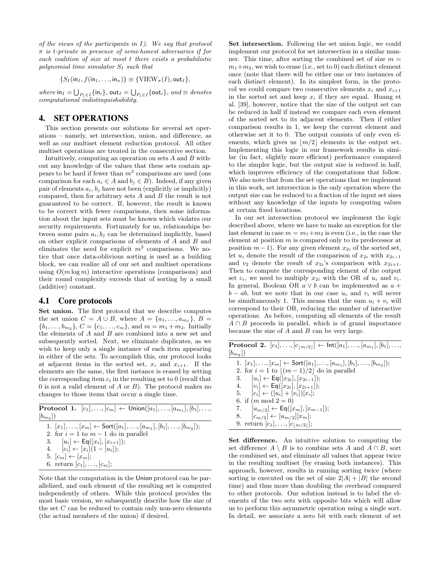of the views of the participants in  $I$ ). We say that protocol  $\pi$  is t-private in presence of semi-honest adversaries if for each coalition of size at most t there exists a probabilistic polynomial time simulator  $S_I$  such that

$$
\{S_I(\mathsf{in}_I, f(\mathsf{in}_1, \ldots, \mathsf{in}_n)\} \equiv \{\mathsf{VIEW}_{\pi}(I), \mathsf{out}_I\},
$$

where  $\text{in}_I = \bigcup_{P_i \in I} \{\text{in}_i\}$ ,  $\text{out}_I = \bigcup_{P_i \in I} \{\text{out}_i\}$ ,  $and \equiv denotes$ computational indistinguishability.

#### 4. SET OPERATIONS

This section presents our solutions for several set operations – namely, set intersection, union, and difference, as well as our multiset element reduction protocol. All other multiset operations are treated in the consecutive section.

Intuitively, computing an operation on sets A and B without any knowledge of the values that these sets contain appears to be hard if fewer than  $m^2$  comparisons are used (one comparison for each  $a_i \in A$  and  $b_j \in B$ ). Indeed, if any given pair of elements  $a_i, b_j$  have not been (explicitly or implicitly) compared, then for arbitrary sets A and B the result is not guaranteed to be correct. If, however, the result is known to be correct with fewer comparisons, then some information about the input sets must be known which violates our security requirements. Fortunately for us, relationships between some pairs  $a_i, b_j$  can be determined implicitly, based on other explicit comparisons of elements of A and B and eliminates the need for explicit  $m^2$  comparisons. We notice that once data-oblivious sorting is used as a building block, we can realize all of our set and multiset operations using  $O(m \log m)$  interactive operations (comparisons) and their round complexity exceeds that of sorting by a small (additive) constant.

## 4.1 Core protocols

Set union. The first protocol that we describe computes the set union  $C = A \cup B$ , where  $A = \{a_1, ..., a_{m_1}\}, B =$  $\{b_1, \ldots, b_{m_2}\}, C = \{c_1, \ldots, c_m\}, \text{ and } m = m_1 + m_2.$  Initially the elements of A and B are combined into a new set and subsequently sorted. Next, we eliminate duplicates, as we wish to keep only a single instance of each item appearing in either of the sets. To accomplish this, our protocol looks at adjacent items in the sorted set,  $x_i$  and  $x_{i+1}$ . If the elements are the same, the first instance is erased by setting the corresponding item  $c_i$  in the resulting set to 0 (recall that 0 is not a valid element of  $A$  or  $B$ ). The protocol makes no changes to those items that occur a single time.

|              | <b>Protocol 1.</b> $[c_1],, [c_m] \leftarrow$ Union $([a_1],, [a_{m_1}],[b_1],,$ |  |
|--------------|----------------------------------------------------------------------------------|--|
| $[b_{m_2}])$ |                                                                                  |  |

| 1. $[x_1], \ldots, [x_m] \leftarrow \text{Sort}([a_1], \ldots, [a_{m_1}], [b_1], \ldots, [b_{m_2}])$ ; |
|--------------------------------------------------------------------------------------------------------|
| 2. for $i = 1$ to $m - 1$ do in parallel                                                               |
| 3. $[u_i] \leftarrow \textsf{Eq}([x_i], [x_{i+1}])$ ;                                                  |
| 4. $[c_i] \leftarrow [x_i](1-[u_i])$ ;                                                                 |
| $5.$ $[c_m] \leftarrow [x_m];$                                                                         |
| 6. return $[c_1], \ldots, [c_m]$ ;                                                                     |

Note that the computation in the Union protocol can be parallelized, and each element of the resulting set is computed independently of others. While this protocol provides the most basic version, we subsequently describe how the size of the set  $C$  can be reduced to contain only non-zero elements (the actual members of the union) if desired.

Set intersection. Following the set union logic, we could implement our protocol for set intersection in a similar manner. This time, after sorting the combined set of size  $m =$  $m_1+m_2$ , we wish to erase (i.e., set to 0) each distinct element once (note that there will be either one or two instances of each distinct element). In its simplest form, in the protocol we could compare two consecutive elements  $x_i$  and  $x_{i+1}$ in the sorted set and keep  $x_i$  if they are equal. Huang et al. [39], however, notice that the size of the output set can be reduced in half if instead we compare each even element of the sorted set to its adjacent elements. Then if either comparison results in 1, we keep the current element and otherwise set it to 0. The output consists of only even elements, which gives us  $|m/2|$  elements in the output set. Implementing this logic in our framework results in similar (in fact, slightly more efficient) performance compared to the simpler logic, but the output size is reduced in half, which improves efficiency of the computations that follow. We also note that from the set operations that we implement in this work, set intersection is the only operation where the output size can be reduced to a fraction of the input set sizes without any knowledge of the inputs by computing values at certain fixed locations.

In our set intersection protocol we implement the logic described above, where we have to make an exception for the last element in case  $m = m_1 + m_2$  is even (i.e., in the case the element at position m is compared only to its predecessor at position  $m-1$ ). For any given element  $x_{2i}$  of the sorted set, let  $u_i$  denote the result of the comparison of  $x_{2i}$  with  $x_{2i-1}$ and  $v_2$  denote the result of  $x_{2i}$ 's comparison with  $x_{2i+1}$ . Then to compute the corresponding element of the output set  $c_i$ , we need to multiply  $x_{2i}$  with the OR of  $u_i$  and  $v_i$ . In general, Boolean OR  $a \vee b$  can be implemented as  $a +$  $b - ab$ , but we note that in our case  $u_i$  and  $v_i$  will never be simultaneously 1. This means that the sum  $u_i + v_i$  will correspond to their OR, reducing the number of interactive operations. As before, computing all elements of the result  $A \cap B$  proceeds in parallel, which is of grand importance because the size of  $A$  and  $B$  can be very large.

 $\textbf{Protocol 2.} \ \ [c_1], \ldots, [c_{\lfloor m/2 \rfloor}] \leftarrow \textsf{Int}([a_1], \ldots, [a_{m_1}], [b_1], \ldots,$  $[b_{m_2}])$ 1.  $[x_1], \ldots, [x_m] \leftarrow \mathsf{Sort}([a_1], \ldots, [a_{m_1}], [b_1], \ldots, [b_{m_2}]);$ 2. for  $i = 1$  to  $|(m - 1)/2|$  do in parallel 3.  $[u_i] \leftarrow \textsf{Eq}([x_{2i}],[x_{2i-1}]);$ 4.  $[v_i] \leftarrow \mathsf{Eq}([x_{2i}], [x_{2i+1}]);$ 5.  $[c_i] \leftarrow ([u_i] + [v_i])[x_i];$ 6. if  $(m \mod 2 = 0)$ 7.  $[u_{m/2}] \leftarrow \textsf{Eq}([x_m], [x_{m-1}]);$ 8.  $[c_{m/2}] \leftarrow [u_{m/2}][x_m];$ 9. return  $[c_1], \ldots, [c_{|m/2|}];$ 

Set difference. An intuitive solution to computing the set difference  $A \setminus B$  is to combine sets A and  $A \cap B$ , sort the combined set, and eliminate all values that appear twice in the resulting multiset (by erasing both instances). This approach, however, results in running sorting twice (where sorting is executed on the set of size  $2|A| + |B|$  the second time) and thus more than doubling the overhead compared to other protocols. Our solution instead is to label the elements of the two sets with opposite bits which will allow us to perform this asymmetric operation using a single sort. In detail, we associate a zero bit with each element of set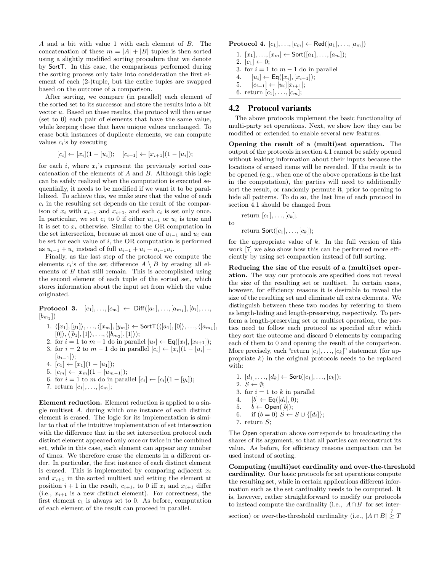A and a bit with value 1 with each element of B. The concatenation of these  $m = |A| + |B|$  tuples is then sorted using a slightly modified sorting procedure that we denote by SortT. In this case, the comparisons performed during the sorting process only take into consideration the first element of each (2-)tuple, but the entire tuples are swapped based on the outcome of a comparison.

After sorting, we compare (in parallel) each element of the sorted set to its successor and store the results into a bit vector u. Based on these results, the protocol will then erase (set to 0) each pair of elements that have the same value, while keeping those that have unique values unchanged. To erase both instances of duplicate elements, we can compute values  $c_i$ 's by executing

$$
[c_i] \leftarrow [x_i](1 - [u_i]); \quad [c_{i+1}] \leftarrow [x_{i+1}](1 - [u_i]);
$$

for each i, where  $x_i$ 's represent the previously sorted concatenation of the elements of A and B. Although this logic can be safely realized when the computation is executed sequentially, it needs to be modified if we want it to be parallelized. To achieve this, we make sure that the value of each  $c_i$  in the resulting set depends on the result of the comparison of  $x_i$  with  $x_{i-1}$  and  $x_{i+1}$ , and each  $c_i$  is set only once. In particular, we set  $c_i$  to 0 if either  $u_{i-1}$  or  $u_i$  is true and it is set to  $x_i$  otherwise. Similar to the OR computation in the set intersection, because at most one of  $u_{i-1}$  and  $u_i$  can be set for each value of i, the OR computation is performed as  $u_{i-1} + u_i$  instead of full  $u_{i-1} + u_i - u_{i-1}u_i$ .

Finally, as the last step of the protocol we compute the elements  $c_i$ 's of the set difference  $A \setminus B$  by erasing all elements of  $B$  that still remain. This is accomplished using the second element of each tuple of the sorted set, which stores information about the input set from which the value originated.

 $\textbf{Protocol 3.} \quad [c_1], \ldots, [c_m] \; \leftarrow \; \textbf{Diff}([a_1], \ldots, [a_{m_1}], [b_1], \ldots,$  $[b_{m_2}])$ 

1.  $\langle [x_1], [y_1] \rangle, \ldots, \langle [x_m], [y_m] \rangle \leftarrow \mathsf{SortT}(\langle [a_1], [0] \rangle, \ldots, \langle [a_{m_1}],$  $[0], \langle [b_1], [1] \rangle, \ldots, \langle [b_{m_2}], [1] \rangle);$ 

2. for 
$$
i = 1
$$
 to  $m - 1$  do in parallel  $[u_i] \leftarrow \text{Eq}([x_i], [x_{i+1}])$ ; 3. for  $i = 2$  to  $m - 1$  do in parallel  $[c_i] \leftarrow [x_i](1 - [u_i] - [u_i])$ 

- $[u_{i-1}$ );
- 4.  $[c_1] \leftarrow [x_1](1 [u_1])$ ;
- 5.  $[c_m] \leftarrow [x_m](1 [u_{m-1}])$ ;

6. for 
$$
i = 1
$$
 to m do in parallel  $[c_i] \leftarrow [c_i](1 - [y_i])$ ;

7. return  $[c_1], ..., [c_m]$ ;

Element reduction. Element reduction is applied to a single multiset A, during which one instance of each distinct element is erased. The logic for its implementation is similar to that of the intuitive implementation of set intersection with the difference that in the set intersection protocol each distinct element appeared only once or twice in the combined set, while in this case, each element can appear any number of times. We therefore erase the elements in a different order. In particular, the first instance of each distinct element is erased. This is implemented by comparing adjacent  $x_i$ and  $x_{i+1}$  in the sorted multiset and setting the element at position  $i+1$  in the result,  $c_{i+1}$ , to 0 iff  $x_i$  and  $x_{i+1}$  differ (i.e.,  $x_{i+1}$  is a new distinct element). For correctness, the first element  $c_1$  is always set to 0. As before, computation of each element of the result can proceed in parallel.

#### **Protocol 4.**  $[c_1], ..., [c_m]$  ← Red $([a_1], ..., [a_m])$

1. 
$$
[x_1], \ldots, [x_m] \leftarrow \text{Sort}([a_1], \ldots, [a_m]);
$$
  
\n2.  $[c_1] \leftarrow 0;$   
\n3. for  $i = 1$  to  $m - 1$  do in parallel  
\n4.  $[u_i] \leftarrow \text{Eq}([x_i], [x_{i+1}]);$   
\n5.  $[c_{i+1}] \leftarrow [u_i][x_{i+1}];$   
\n6. return  $[c_1], \ldots, [c_m];$ 

#### 4.2 Protocol variants

The above protocols implement the basic functionality of multi-party set operations. Next, we show how they can be modified or extended to enable several new features.

Opening the result of a (multi)set operation. The output of the protocols in section 4.1 cannot be safely opened without leaking information about their inputs because the locations of erased items will be revealed. If the result is to be opened (e.g., when one of the above operations is the last in the computation), the parties will need to additionally sort the result, or randomly permute it, prior to opening to hide all patterns. To do so, the last line of each protocol in section 4.1 should be changed from

$$
\begin{aligned}\n\text{return } [c_1], \ldots, [c_k]; \\
\text{to} \\
\text{return } \text{Sort}([c_1], \ldots, [c_k]);\n\end{aligned}
$$

for the appropriate value of  $k$ . In the full version of this work [7] we also show how this can be performed more efficiently by using set compaction instead of full sorting.

Reducing the size of the result of a (multi)set operation. The way our protocols are specified does not reveal the size of the resulting set or multiset. In certain cases, however, for efficiency reasons it is desirable to reveal the size of the resulting set and eliminate all extra elements. We distinguish between these two modes by referring to them as length-hiding and length-preserving, respectively. To perform a length-preserving set or multiset operation, the parties need to follow each protocol as specified after which they sort the outcome and discard 0 elements by comparing each of them to 0 and opening the result of the comparison. More precisely, each "return  $[c_1], \ldots, [c_k]$ " statement (for appropriate  $k$ ) in the original protocols needs to be replaced with:

1. 
$$
[d_1], \ldots, [d_k] \leftarrow \text{Sort}([c_1], \ldots, [c_k]);
$$
\n2.  $S \leftarrow \emptyset$ ;\n3. for  $i = 1$  to  $k$  in parallel\n4.  $[b] \leftarrow \text{Eq}([d_i], 0)$ ;\n5.  $b \leftarrow \text{Open}([b])$ ;\n6. if  $(b = 0) S \leftarrow S \cup \{[d_i]\}$ ;\n7. return  $S$ 

The Open operation above corresponds to broadcasting the shares of its argument, so that all parties can reconstruct its value. As before, for efficiency reasons compaction can be used instead of sorting.

Computing (multi)set cardinality and over-the-threshold cardinality. Our basic protocols for set operations compute the resulting set, while in certain applications different information such as the set cardinality needs to be computed. It is, however, rather straightforward to modify our protocols to instead compute the cardinality (i.e.,  $|A \cap B|$  for set inter-

section) or over-the-threshold cardinality (i.e.,  $|A \cap B| \geq T$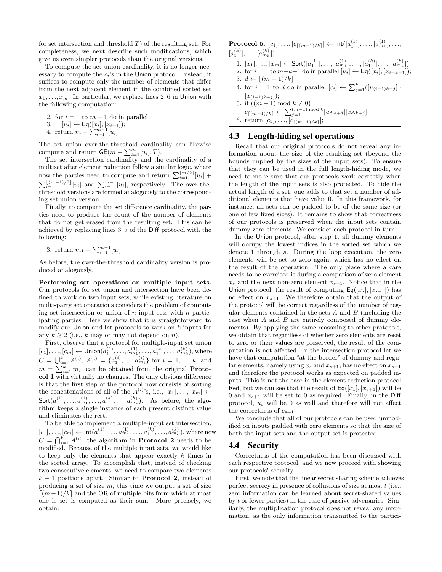for set intersection and threshold  $T$ ) of the resulting set. For completeness, we next describe such modifications, which give us even simpler protocols than the original versions.

To compute the set union cardinality, it is no longer necessary to compute the  $c_i$ 's in the Union protocol. Instead, it suffices to compute only the number of elements that differ from the next adjacent element in the combined sorted set  $x_1, \ldots, x_m$ . In particular, we replace lines 2–6 in Union with the following computation:

2. for  $i = 1$  to  $m - 1$  do in parallel

3.  $[u_i] \leftarrow \textsf{Eq}([x_i], [x_{i+1}]);$ 

4. return  $m - \sum_{i=1}^{m-1} [u_i];$ 

The set union over-the-threshold cardinality can likewise compute and return  $\mathsf{GE}(m - \sum_{i=1}^m [u_i], T)$ .

The set intersection cardinality and the cardinality of a multiset after element reduction follow a similar logic, where now the parties need to compute and return  $\sum_{i=1}^{\lfloor m/2 \rfloor} [u_i]$  +  $\sum_{i=1}^{\lfloor (m-1)/2 \rfloor} [v_i]$  and  $\sum_{i=1}^{m-1} [u_i]$ , respectively. The over-thethreshold versions are formed analogously to the corresponding set union version.

Finally, to compute the set difference cardinality, the parties need to produce the count of the number of elements that do not get erased from the resulting set. This can be achieved by replacing lines 3–7 of the Diff protocol with the following:

3. return 
$$
m_1 - \sum_{i=1}^{m-1} [u_i];
$$

As before, the over-the-threshold cardinality version is produced analogously.

Performing set operations on multiple input sets. Our protocols for set union and intersection have been defined to work on two input sets, while existing literature on multi-party set operations considers the problem of computing set intersection or union of  $n$  input sets with  $n$  participating parties. Here we show that it is straightforward to modify our Union and Int protocols to work on k inputs for any  $k \geq 2$  (i.e., k may or may not depend on n).

First, observe that a protocol for multiple-input set union  $[c_1], \ldots, [c_m] \leftarrow \mathsf{Union}(a_1^{(1)}, \ldots, a_{m_1}^{(1)}, \ldots, a_1^{(k)}, \ldots, a_{m_k}^{(k)}),$  where  $C = \bigcup_{i=1}^{k} A^{(i)}, A^{(i)} = \{a_1^{(i)}, \ldots, a_{m_i}^{(i)}\}$  for  $i = 1, \ldots, k$ , and  $m = \sum_{i=1}^{k} m_i$ , can be obtained from the original **Proto**col 1 with virtually no changes. The only obvious difference is that the first step of the protocol now consists of sorting the concatenations of all of the  $A^{(i)}$ 's, i.e.,  $[x_1], \ldots, [x_m] \leftarrow$  $\mathsf{Sort}(a_1^{(1)},...,a_{m_1}^{(1)},...,a_1^{(k)},...,a_{m_k}^{(k)}).$  As before, the algorithm keeps a single instance of each present distinct value and eliminates the rest.

To be able to implement a multiple-input set intersection,  $[c_1], \ldots, [c_m] \leftarrow \mathsf{Int}(a_1^{(1)}, \ldots, a_{m_1}^{(1)}, \ldots, a_1^{(k)}, \ldots, a_{m_k}^{(k)}),$  where now  $C = \bigcap_{i=1}^k A^{(i)}$ , the algorithm in **Protocol 2** needs to be modified. Because of the multiple input sets, we would like to keep only the elements that appear exactly k times in the sorted array. To accomplish that, instead of checking two consecutive elements, we need to compare two elements  $k-1$  positions apart. Similar to **Protocol 2**, instead of producing a set of size  $m$ , this time we output a set of size  $\lceil (m-1)/k \rceil$  and the OR of multiple bits from which at most one is set is computed as their sum. More precisely, we obtain:

 $\textbf{Protocol 5.}~~ [c_1], \ldots, [c_{\lceil (m-1)/k \rceil}] \leftarrow \textsf{Int}([a_1^{(1)}], \ldots, [a_{m_1}^{(1)}], \ldots,$  $[a_1^{(k)}], \ldots, [a_{m_k}^{(k)}]$ 

- 1.  $[x_1], \ldots, [x_m] \leftarrow \mathsf{Sort}([a_1^{(1)}], \ldots, [a_{m_1}^{(1)}], \ldots, [a_1^{(k)}], \ldots, [a_{m_k}^{(k)}]);$
- 2. for  $i = 1$  to  $m-k+1$  do in parallel  $[u_i] \leftarrow \textsf{Eq}([x_i], [x_{i+k-1}])$ ;
- 3.  $d \leftarrow \lfloor (m 1)/k \rfloor$ ;
- 4. for  $i = 1$  to d do in parallel  $[c_i] \leftarrow \sum_{j=1}^k ([u_{(i-1)k+j}]$ .  $[x_{(i-1)k+j}]);$
- 5. if  $((m-1) \mod k \neq 0)$  $c_{\lceil (m-1)/k \rceil} \leftarrow \sum_{j=1}^{(m-1) \bmod k} [u_{d \cdot k+j}] [x_{d \cdot k+j}];$ 6. return  $[c_1], \ldots, [c_{\lceil (m-1)/k \rceil}];$

## 4.3 Length-hiding set operations

Recall that our original protocols do not reveal any information about the size of the resulting set (beyond the bounds implied by the sizes of the input sets). To ensure that they can be used in the full length-hiding mode, we need to make sure that our protocols work correctly when the length of the input sets is also protected. To hide the actual length of a set, one adds to that set a number of additional elements that have value 0. In this framework, for instance, all sets can be padded to be of the same size (or one of few fixed sizes). It remains to show that correctness of our protocols is preserved when the input sets contain dummy zero elements. We consider each protocol in turn.

In the Union protocol, after step 1, all dummy elements will occupy the lowest indices in the sorted set which we denote 1 through s. During the loop execution, the zero elements will be set to zero again, which has no effect on the result of the operation. The only place where a care needs to be exercised is during a comparison of zero element  $x_s$  and the next non-zero element  $x_{s+1}$ . Notice that in the Union protocol, the result of computing  $\textsf{Eq}([x_s],[x_{s+1}])$  has no effect on  $x_{s+1}$ . We therefore obtain that the output of the protocol will be correct regardless of the number of regular elements contained in the sets  $A$  and  $B$  (including the case when  $A$  and  $B$  are entirely composed of dummy elements). By applying the same reasoning to other protocols, we obtain that regardless of whether zero elements are reset to zero or their values are preserved, the result of the computation is not affected. In the intersection protocol Int we have that computation "at the border" of dummy and regular elements, namely using  $x_s$  and  $x_{s+1}$ , has no effect on  $x_{s+1}$ and therefore the protocol works as expected on padded inputs. This is not the case in the element reduction protocol Red, but we can see that the result of  $\mathsf{Eq}([x_s], [x_{s+1}])$  will be 0 and  $x_{s+1}$  will be set to 0 as required. Finally, in the Diff protocol, u<sup>s</sup> will be 0 as well and therefore will not affect the correctness of  $c_{s+1}$ .

We conclude that all of our protocols can be used unmodified on inputs padded with zero elements so that the size of both the input sets and the output set is protected.

#### 4.4 Security

Correctness of the computation has been discussed with each respective protocol, and we now proceed with showing our protocols' security.

First, we note that the linear secret sharing scheme achieves perfect secrecy in presence of collusions of size at most  $t$  (i.e., zero information can be learned about secret-shared values by t or fewer parties) in the case of passive adversaries. Similarly, the multiplication protocol does not reveal any information, as the only information transmitted to the partici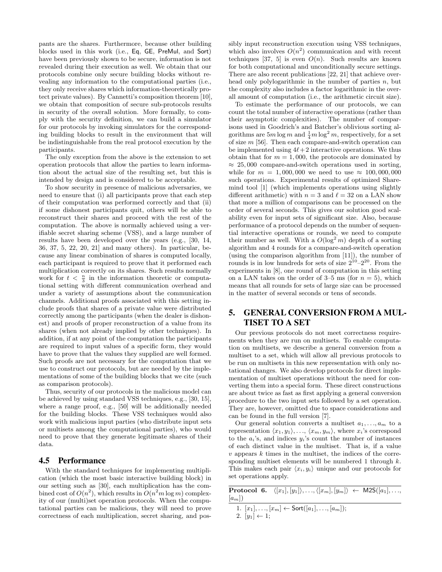pants are the shares. Furthermore, because other building blocks used in this work (i.e., Eq, GE, PreMul, and Sort) have been previously shown to be secure, information is not revealed during their execution as well. We obtain that our protocols combine only secure building blocks without revealing any information to the computational parties (i.e., they only receive shares which information-theoretically protect private values). By Cannetti's composition theorem [10], we obtain that composition of secure sub-protocols results in security of the overall solution. More formally, to comply with the security definition, we can build a simulator for our protocols by invoking simulators for the corresponding building blocks to result in the environment that will be indistinguishable from the real protocol execution by the participants.

The only exception from the above is the extension to set operation protocols that allow the parties to learn information about the actual size of the resulting set, but this is intended by design and is considered to be acceptable.

To show security in presence of malicious adversaries, we need to ensure that (i) all participants prove that each step of their computation was performed correctly and that (ii) if some dishonest participants quit, others will be able to reconstruct their shares and proceed with the rest of the computation. The above is normally achieved using a verifiable secret sharing scheme (VSS), and a large number of results have been developed over the years (e.g., [30, 14, 36, 37, 5, 22, 20, 21] and many others). In particular, because any linear combination of shares is computed locally, each participant is required to prove that it performed each multiplication correctly on its shares. Such results normally work for  $t < \frac{n}{3}$  in the information theoretic or computational setting with different communication overhead and under a variety of assumptions about the communication channels. Additional proofs associated with this setting include proofs that shares of a private value were distributed correctly among the participants (when the dealer is dishonest) and proofs of proper reconstruction of a value from its shares (when not already implied by other techniques). In addition, if at any point of the computation the participants are required to input values of a specific form, they would have to prove that the values they supplied are well formed. Such proofs are not necessary for the computation that we use to construct our protocols, but are needed by the implementations of some of the building blocks that we cite (such as comparison protocols).

Thus, security of our protocols in the malicious model can be achieved by using standard VSS techniques, e.g., [30, 15], where a range proof, e.g., [50] will be additionally needed for the building blocks. These VSS techniques would also work with malicious input parties (who distribute input sets or multisets among the computational parties), who would need to prove that they generate legitimate shares of their data.

## 4.5 Performance

With the standard techniques for implementing multiplication (which the most basic interactive building block) in our setting such as [30], each multiplication has the combined cost of  $O(n^2)$ , which results in  $O(n^2m \log m)$  complexity of our (multi)set operation protocols. When the computational parties can be malicious, they will need to prove correctness of each multiplication, secret sharing, and possibly input reconstruction execution using VSS techniques, which also involves  $O(n^2)$  communication and with recent techniques [37, 5] is even  $O(n)$ . Such results are known for both computational and unconditionally secure settings. There are also recent publications [22, 21] that achieve overhead only polylogarithmic in the number of parties  $n$ , but the complexity also includes a factor logarithmic in the overall amount of computation (i.e., the arithmetic circuit size).

To estimate the performance of our protocols, we can count the total number of interactive operations (rather than their asymptotic complexities). The number of comparisons used in Goodrich's and Batcher's oblivious sorting algorithms are  $5m \log m$  and  $\frac{1}{4}m \log^2 m$ , respectively, for a set of size  $m$  [56]. Then each compare-and-switch operation can be implemented using  $4\ell+2$  interactive operations. We thus obtain that for  $m = 1,000$ , the protocols are dominated by  $\approx 25,000$  compare-and-switch operations used in sorting, while for  $m = 1,000,000$  we need to use  $\approx 100,000,000$ such operations. Experimental results of optimized Sharemind tool [1] (which implements operations using slightly different arithmetic) with  $n = 3$  and  $\ell = 32$  on a LAN show that more a million of comparisons can be processed on the order of several seconds. This gives our solution good scalability even for input sets of significant size. Also, because performance of a protocol depends on the number of sequential interactive operations or rounds, we need to compute their number as well. With a  $O(\log^2 m)$  depth of a sorting algorithm and 4 rounds for a compare-and-switch operation (using the comparison algorithm from [11]), the number of rounds is in low hundreds for sets of size  $2^{10}-2^{20}$ . From the experiments in [8], one round of computation in this setting on a LAN takes on the order of 3–5 ms (for  $n = 5$ ), which means that all rounds for sets of large size can be processed in the matter of several seconds or tens of seconds.

# 5. GENERAL CONVERSION FROM A MUL-TISET TO A SET

Our previous protocols do not meet correctness requirements when they are run on multisets. To enable computation on multisets, we describe a general conversion from a multiset to a set, which will allow all previous protocols to be run on multisets in this new representation with only notational changes. We also develop protocols for direct implementation of multiset operations without the need for converting them into a special form. These direct constructions are about twice as fast as first applying a general conversion procedure to the two input sets followed by a set operation. They are, however, omitted due to space considerations and can be found in the full version [7].

Our general solution converts a multiset  $a_1, \ldots, a_m$  to a representation  $\langle x_1, y_1 \rangle, \ldots, \langle x_m, y_m \rangle$ , where  $x_i$ 's correspond to the  $a_i$ 's, and indices  $y_i$ 's count the number of instances of each distinct value in the multiset. That is, if a value  $v$  appears  $k$  times in the multiset, the indices of the corresponding multiset elements will be numbered 1 through  $k$ . This makes each pair  $\langle x_i, y_i \rangle$  unique and our protocols for set operations apply.

|         | <b>Protocol 6.</b> $\langle [x_1], [y_1] \rangle, \ldots, \langle [x_m], [y_m] \rangle \leftarrow \text{M2S}([a_1], \ldots,$ |
|---------|------------------------------------------------------------------------------------------------------------------------------|
| $ a_m $ |                                                                                                                              |
|         | $[x_1, x_2, \ldots, x_n] \leftarrow$ Sort([a,] [a,]).                                                                        |

1. 
$$
[x_1], \ldots, [x_m] \leftarrow \text{Sort}([a_1], \ldots, [a_m]);
$$
  
2.  $[y_1] \leftarrow 1;$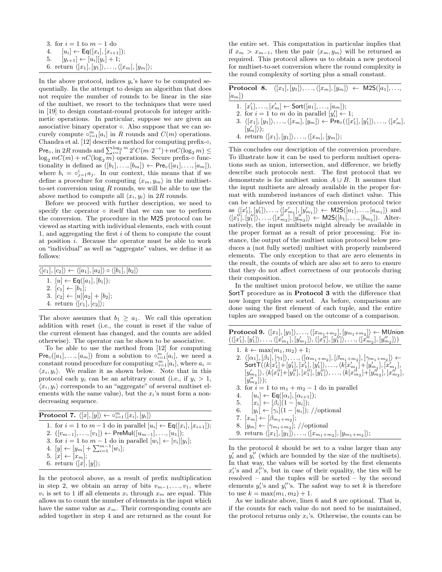3. for  $i = 1$  to  $m - 1$  do 4.  $[u_i] \leftarrow \textsf{Eq}([x_i], [x_{i+1}]);$ 5.  $[y_{i+1}] \leftarrow [u_i][y_i] + 1;$ 6. return  $\langle [x_1],[y_1]\rangle, \ldots, \langle [x_m],[y_m]\rangle;$ 

In the above protocol, indices  $y_i$ 's have to be computed sequentially. In the attempt to design an algorithm that does not require the number of rounds to be linear in the size of the multiset, we resort to the techniques that were used in [19] to design constant-round protocols for integer arithmetic operations. In particular, suppose we are given an associative binary operator ◦. Also suppose that we can securely compute  $\circ_{i=1}^{m}[a_i]$  in R rounds and  $C(m)$  operations. Chandra et al. [12] describe a method for computing prefix- $\circ$ , Pre<sub>o</sub>, in 2R rounds and  $\sum_{i=1}^{\log_2 m} 2^i C(m \cdot 2^{-i}) + mC(\log_2 m) \leq$  $\log_2 mC(m) + nC(\log_2 m)$  operations. Secure prefix-∘ functionality is defined as  $([b_1], ..., [b_m]) \leftarrow \mathsf{Pre}_{\circ}([a_1], ..., [a_m]),$ where  $b_i = \circ_{j=1}^i a_j$ . In our context, this means that if we define a procedure for computing  $\langle x_m, y_m \rangle$  in the multisetto-set conversion using  $R$  rounds, we will be able to use the above method to compute all  $\langle x_i, y_i \rangle$  in 2R rounds.

Before we proceed with further description, we need to specify the operator  $\circ$  itself that we can use to perform the conversion. The procedure in the M2S protocol can be viewed as starting with individual elements, each with count 1, and aggregating the first i of them to compute the count at position i. Because the operator must be able to work on "individual" as well as "aggregate" values, we define it as follows:

| $\langle [c_1], [c_2] \rangle \leftarrow \langle [a_1], [a_2] \rangle \circ \langle [b_1], [b_2] \rangle$ |  |
|-----------------------------------------------------------------------------------------------------------|--|
| 1. $[u] \leftarrow \textsf{Eq}([a_1], [b_1])$ ;                                                           |  |
| 2. $ c_1  \leftarrow  b_1 $ ;                                                                             |  |
| 3. $[c_2] \leftarrow [u][a_2] + [b_2];$                                                                   |  |
| 4. return $\langle [c_1], [c_2] \rangle$ ;                                                                |  |

The above assumes that  $b_1 \geq a_1$ . We call this operation addition with reset (i.e., the count is reset if the value of the current element has changed, and the counts are added otherwise). The operator can be shown to be associative.

To be able to use the method from [12] for computing Pre<sub>∘</sub>([a<sub>1</sub>], ..., [a<sub>m</sub>]) from a solution to ∘<sup>m</sup><sub>i=1</sub>[a<sub>i</sub>], we need a constant round procedure for computing  $\circ_{i=1}^{m}[a_i]$ , where  $a_i =$  $\langle x_i, y_i \rangle$ . We realize it as shown below. Note that in this protocol each  $y_i$  can be an arbitrary count (i.e., if  $y_i > 1$ ,  $\langle x_i, y_i \rangle$  corresponds to an "aggregate" of several multiset elements with the same value), but the  $x_i$ 's must form a nondecreasing sequence.

| <b>Protocol 7.</b> $\langle  x ,  y  \rangle \leftarrow \circ_{i=1}^{m} \langle  x_i ,  y_i  \rangle$ |
|-------------------------------------------------------------------------------------------------------|
| 1. for $i = 1$ to $m - 1$ do in parallel $ u_i  \leftarrow \textsf{Eq}( x_i ,  x_{i+1} );$            |
| 2. $([v_{m-1}], \ldots, [v_1]) \leftarrow \text{PreMul}([u_{m-1}], \ldots, [u_1])$ ;                  |
| 3. for $i = 1$ to $m - 1$ do in parallel $[w_i] \leftarrow [v_i][y_i]$ ;                              |
| 4. $[y] \leftarrow [y_m] + \sum_{i=1}^{m-1} [w_i];$                                                   |
| $5.$ $[x] \leftarrow [x_m];$                                                                          |
| 6. return $\langle [x], [y] \rangle$ ;                                                                |

In the protocol above, as a result of prefix multiplication in step 2, we obtain an array of bits  $v_{m-1}, \ldots, v_1$ , where  $v_i$  is set to 1 iff all elements  $x_i$  through  $x_m$  are equal. This allows us to count the number of elements in the input which have the same value as  $x_m$ . Their corresponding counts are added together in step 4 and are returned as the count for the entire set. This computation in particular implies that if  $x_m > x_{m-1}$ , then the pair  $\langle x_m, y_m \rangle$  will be returned as required. This protocol allows us to obtain a new protocol for multiset-to-set conversion where the round complexity is the round complexity of sorting plus a small constant.

|         | <b>Protocol 8.</b> $\langle [x_1], [y_1] \rangle, , \langle [x_m], [y_m] \rangle \leftarrow M2S([a_1], ,$ |  |
|---------|-----------------------------------------------------------------------------------------------------------|--|
| $[a_m]$ |                                                                                                           |  |

- 1.  $[x'_1], \ldots, [x'_m] \leftarrow \text{Sort}([a_1], \ldots, [a_m]);$
- 2. for  $i = 1$  to m do in parallel  $[y'_i] \leftarrow 1$ ;
- 3.  $\langle [x_1], [y_1] \rangle, \ldots, \langle [x_m], [y_m] \rangle \leftarrow \text{Pre}_{\circ}(\langle [x'_1], [y'_1] \rangle, \ldots, \langle [x'_m],$  $|y'_m|\rangle);$ 4. return  $\langle [x_1], [y_1]\rangle, \ldots, \langle [x_m], [y_m]\rangle;$

This concludes our description of the conversion procedure. To illustrate how it can be used to perform multiset operations such as union, intersection, and difference, we briefly describe such protocols next. The first protocol that we demonstrate is for multiset union  $A \cup B$ . It assumes that the input multisets are already available in the proper format with numbered instances of each distinct value. This can be achieved by executing the conversion protocol twice as  $\langle [x'_1], [y'_1] \rangle, \ldots, \langle [x'_{m_1}], [y'_{m_1}] \rangle \leftarrow \mathsf{M2S}([a_1], \ldots, [a_{m_1}])$  and  $\langle [x_1''], [y_1''] \rangle, \ldots, \langle [x_{m_2}''], [y_{m_2}''] \rangle \leftarrow \mathsf{M2S}([b_1], \ldots, [b_{m_2}])$ . Alternatively, the input multisets might already be available in the proper format as a result of prior processing. For instance, the output of the multiset union protocol below produces a (not fully sorted) multiset with properly numbered elements. The only exception to that are zero elements in the result, the counts of which are also set to zero to ensure that they do not affect correctness of our protocols during their composition.

In the multiset union protocol below, we utilize the same SortT procedure as in Protocol 3 with the difference that now longer tuples are sorted. As before, comparisons are done using the first element of each tuple, and the entire tuples are swapped based on the outcome of a comparison.

 $\overline{ }$ 

| $\textbf{Protocol 9.}~ \langle [x_1], [y_1] \rangle, \dots, \langle [x_{m_1+m_2}], [y_{m_1+m_2}] \rangle \leftarrow \textsf{MUnion}$                                   |
|------------------------------------------------------------------------------------------------------------------------------------------------------------------------|
| $(\langle [x'_1], [y'_1] \rangle, \ldots, \langle [x'_{m_1}], [y'_{m_1}] \rangle, \langle [x''_1], [y''_1] \rangle, \ldots, \langle [x''_{m_2}], [y''_{m_2}] \rangle)$ |
| 1. $k \leftarrow \max(m_1, m_2) + 1$ ;                                                                                                                                 |
| 2. $\langle [\alpha_1], [\beta_1], [\gamma_1] \rangle, \ldots, \langle [\alpha_{m_1+m_2}], [\beta_{m_1+m_2}], [\gamma_{m_1+m_2}] \rangle \leftarrow$                   |
| Sort $T(\langle k[x'_1]+[y'_1],[x'_1],[y'_1]\rangle, \ldots, \langle k[x'_{m_1}]+[y'_{m_1}],[x'_{m_1}],$                                                               |
| $[y'_{m_1}] \rangle, \langle k[x''_1]+[y''_1], [x''_1], [y''_1] \rangle, \ldots, \langle k[x''_{m_2}]+[y''_{m_2}], [x''_{m_2}],$                                       |
| $[y''_{m_2}]\rangle);$                                                                                                                                                 |
| 3. for $i = 1$ to $m_1 + m_2 - 1$ do in parallel                                                                                                                       |
| 4. $[u_i] \leftarrow \mathsf{Eq}([\alpha_i], [\alpha_{i+1}])$ ;                                                                                                        |
| 5. $[x_i] \leftarrow [\beta_i](1 - [u_i])$ ;                                                                                                                           |
| $[y_i] \leftarrow [\gamma_i](1 - [u_i])$ ; //optional<br>6.                                                                                                            |
| 7. $ x_m  \leftarrow  \beta_{m_1+m_2} ;$                                                                                                                               |
| 8. $[y_m] \leftarrow [\gamma_{m_1+m_2}];$ //optional                                                                                                                   |
| 9. return $\langle [x_1], [y_1] \rangle, \ldots, \langle [x_{m_1+m_2}], [y_{m_1+m_2}] \rangle;$                                                                        |
| In the protocol k should be set to a value larger than any                                                                                                             |

In the protocol  $k$  should be set to a value larger than any  $y_i'$  and  $y_i''$  (which are bounded by the size of the multisets). In that way, the values will be sorted by the first elements  $x_i^{\prime\prime}$ 's and  $x_i^{\prime\prime}$ 's, but in case of their equality, the ties will be resolved – and the tuples will be sorted – by the second elements  $y_i$ 's and  $y_i''$ 's. The safest way to set k is therefore to use  $k = \max(m_1, m_2) + 1$ .

As we indicate above, lines 6 and 8 are optional. That is, if the counts for each value do not need to be maintained, the protocol returns only  $x_i$ 's. Otherwise, the counts can be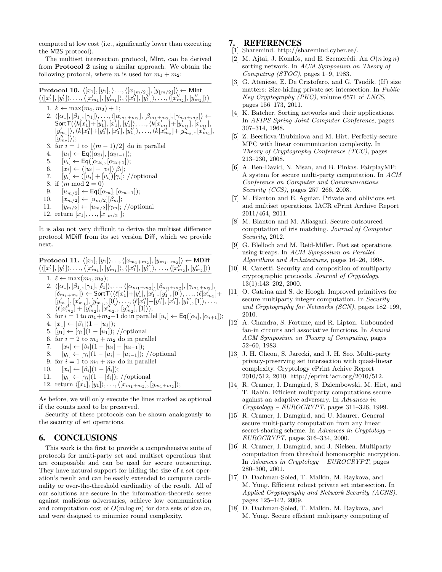computed at low cost (i.e., significantly lower than executing the M2S protocol).

The multiset intersection protocol, MInt, can be derived from Protocol 2 using a similar approach. We obtain the following protocol, where m is used for  $m_1 + m_2$ :

```
\textbf{Protocol 10.}~\langle [x_1],[y_1],\rangle\ldots,\langle [x_{\lfloor m/2\rfloor}], [y_{\lfloor m/2\rfloor}]\rangle\leftarrow \textsf{MInt}(\langle [x'_1], [y'_1] \rangle, \ldots, \langle [x'_{m_1}], [y'_{m_1}] \rangle, \langle [x''_1], [y''_1] \rangle, \ldots, \langle [x''_{m_2}], [y''_{m_2}] \rangle)1. k \leftarrow \max(m_1, m_2) + 1;
     2. \langle [\alpha_1], [\beta_1], [\gamma_1] \rangle, \ldots, \langle [\alpha_{m_1+m_2}], [\beta_{m_1+m_2}], [\gamma_{m_1+m_2}] \rangle \leftarrow\textsf{SortT}(\langle k[x_1']\!+\![y_1'],[x_1'],[y_1']\rangle,\ldots,\langle k[x_{m_1}']\!+\![y_{m_1}'],[x_{m_1}'],[y'_{m_1}]\rangle, \langle k[x_1'']+[y_1''],[x_1''],[y_1'']\rangle, \ldots, \langle k[x_{m_2}']+[y_{m_2}''],[x_{m_2}''],[x_{m_2}'][y''_{m_2}]\rangle);3. for i = 1 to \lfloor (m - 1)/2 \rfloor do in parallel
     4. [u_i] \leftarrow \mathsf{Eq}([\alpha_{2i}], [\alpha_{2i-1}]);
    5. [v_i] \leftarrow \mathsf{Eq}([\alpha_{2i}], [\alpha_{2i+1}]);
    6. [x_i] \leftarrow ([u_i] + [v_i])[\beta_i];7. [y_i] \leftarrow ([u_i] + [v_i])[\gamma_i]; //optional
    8. if (m \mod 2 = 0)9. [u_{m/2}] \leftarrow \textsf{Eq}([\alpha_m], [\alpha_{m-1}]);
  10. [x_{m/2}] \leftarrow [u_{m/2}][\beta_m];11. [y_{m/2}] \leftarrow [u_{m/2}][\gamma_m]; //optional
  12. return [x_1], \ldots, [x_{\lfloor m/2 \rfloor}];
```
It is also not very difficult to derive the multiset difference protocol MDiff from its set version Diff, which we provide next.

 $\textbf{Protocol 11.}~ \langle [x_1], [y_1]\rangle \ldots, \langle [x_{m_1+m_2}], [y_{m_1+m_2}]\rangle \leftarrow \textbf{MDiff}$  $(\langle [x'_1], [y'_1] \rangle, \ldots, \langle [x'_{m_1}], [y'_{m_1}] \rangle, \langle [x''_1], [y''_1] \rangle, \ldots, \langle [x''_{m_2}], [y''_{m_2}] \rangle)$ 

- 1.  $\ell \leftarrow \max(m_1, m_2);$
- 2.  $\langle [\alpha_1], [\beta_1], [\gamma_1], [\delta_1] \rangle, \ldots, \langle [\alpha_{m_1+m_2}], [\beta_{m_1+m_2}], [\gamma_{m_1+m_2}],$  $[\delta_{m_1+m_2}]\rangle \leftarrow \mathsf{SortT}(\langle \ell[x'_1]+[y'_1],[x'_1],[y'_1],[0]\rangle, \ldots, \langle \ell[x'_{m_1}]+$  $[y'_{m_1}], [x'_{m_1}], [y'_{m_1}], [0], \ldots, \langle \ell[x_1''] + [y_1''], [x_1''], [y_1''], [1] \rangle, \ldots,$  $\langle \ell[x_{m_2}'''] + [y_{m_2}''], [x_{m_2}''], [y_{m_2}''], [1] \rangle);$
- 3. for  $i = 1$  to  $m_1+m_2-1$  do in parallel  $[u_i] \leftarrow \textsf{Eq}([\alpha_i], [\alpha_{i+1}])$ ;
- 4.  $[x_1] \leftarrow [\beta_1](1 [u_1]);$
- 5.  $[y_1] \leftarrow [\gamma_1](1 [u_1])$ ; //optional
- 6. for  $i = 2$  to  $m_1 + m_2$  do in parallel
- 7.  $[x_i] \leftarrow [\beta_i](1 [u_i] [u_{i-1}])$ ;
- 8.  $[y_i] \leftarrow [\gamma_i] (1 [u_i] [u_{i-1}])$ ; //optional
- 9. for  $i = 1$  to  $m_1 + m_2$  do in parallel
- 10.  $[x_i] \leftarrow [\beta_i](1 [\delta_i])$ ;
- 11.  $[y_i] \leftarrow [\gamma_i](1 [\delta_i])$ ; //optional
- 12. return  $\langle [x_1], [y_1] \rangle, \ldots, \langle [x_{m_1+m_2}], [y_{m_1+m_2}] \rangle;$

As before, we will only execute the lines marked as optional if the counts need to be preserved.

Security of these protocols can be shown analogously to the security of set operations.

## 6. CONCLUSIONS

This work is the first to provide a comprehensive suite of protocols for multi-party set and multiset operations that are composable and can be used for secure outsourcing. They have natural support for hiding the size of a set operation's result and can be easily extended to compute cardinality or over-the-threshold cardinality of the result. All of our solutions are secure in the information-theoretic sense against malicious adversaries, achieve low communication and computation cost of  $O(m \log m)$  for data sets of size m, and were designed to minimize round complexity.

## 7. REFERENCES

- [1] Sharemind. http://sharemind.cyber.ee/.
- [2] M. Ajtai, J. Komlós, and E. Szemerédi. An  $O(n \log n)$ sorting network. In ACM Symposium on Theory of Computing (STOC), pages  $1-9$ , 1983.
- [3] G. Ateniese, E. De Cristofaro, and G. Tsudik. (If) size matters: Size-hiding private set intersection. In Public Key Cryptography (PKC), volume 6571 of LNCS, pages 156–173, 2011.
- [4] K. Batcher. Sorting networks and their applications. In AFIPS Spring Joint Computer Conference, pages 307–314, 1968.
- [5] Z. Beerliova-Trubiniova and M. Hirt. Perfectly-secure MPC with linear communication complexity. In Theory of Cryptography Conference (TCC), pages 213–230, 2008.
- [6] A. Ben-David, N. Nisan, and B. Pinkas. FairplayMP: A system for secure multi-party computation. In ACM Conference on Computer and Communications Security (CCS), pages 257–266, 2008.
- [7] M. Blanton and E. Aguiar. Private and oblivious set and multiset operations. IACR ePrint Archive Report 2011/464, 2011.
- [8] M. Blanton and M. Aliasgari. Secure outsourced computation of iris matching. Journal of Computer Security, 2012.
- [9] G. Blelloch and M. Reid-Miller. Fast set operations using treaps. In ACM Symposium on Parallel Algorithms and Architectures, pages 16–26, 1998.
- [10] R. Canetti. Security and composition of multiparty cryptographic protocols. Journal of Cryptology, 13(1):143–202, 2000.
- [11] O. Catrina and S. de Hoogh. Improved primitives for secure multiparty integer computation. In Security and Cryptography for Networks (SCN), pages 182–199, 2010.
- [12] A. Chandra, S. Fortune, and R. Lipton. Unbounded fan-in circuits and associative functions. In Annual ACM Symposium on Theory of Computing, pages 52–60, 1983.
- [13] J. H. Cheon, S. Jarecki, and J. H. Seo. Multi-party privacy-preserving set intersection with quasi-linear complexity. Cryptology ePrint Achive Report 2010/512, 2010. http://eprint.iacr.org/2010/512.
- [14] R. Cramer, I. Damgård, S. Dziembowski, M. Hirt, and T. Rabin. Efficient multiparty computations secure against an adaptive adversary. In Advances in  $Cryptology - EUROCRYPT$ , pages 311–326, 1999.
- [15] R. Cramer, I. Damgård, and U. Maurer. General secure multi-party computation from any linear secret-sharing scheme. In Advances in Cryptology – EUROCRYPT, pages 316–334, 2000.
- [16] R. Cramer, I. Damgård, and J. Nielsen. Multiparty computation from threshold homomorphic encryption. In Advances in Cryptology – EUROCRYPT, pages 280–300, 2001.
- [17] D. Dachman-Soled, T. Malkin, M. Raykova, and M. Yung. Efficient robust private set intersection. In Applied Cryptography and Network Security (ACNS), pages 125–142, 2009.
- [18] D. Dachman-Soled, T. Malkin, M. Raykova, and M. Yung. Secure efficient multiparty computing of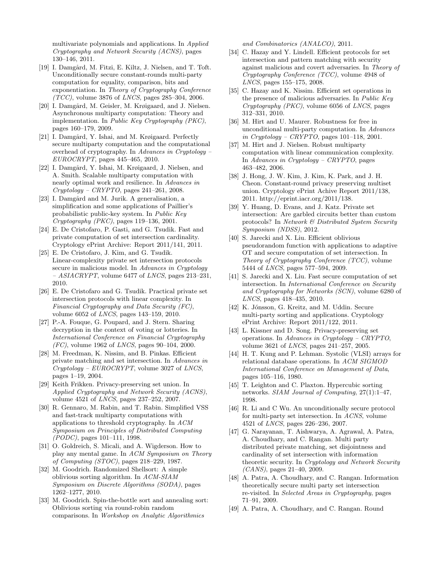multivariate polynomials and applications. In Applied Cryptography and Network Security (ACNS), pages 130–146, 2011.

- [19] I. Damgård, M. Fitzi, E. Kiltz, J. Nielsen, and T. Toft. Unconditionally secure constant-rounds multi-party computation for equality, comparison, bits and exponentiation. In Theory of Cryptography Conference  $(TCC)$ , volume 3876 of *LNCS*, pages 285–304, 2006.
- [20] I. Damgård, M. Geisler, M. Krøigaard, and J. Nielsen. Asynchronous multiparty computation: Theory and implementation. In Public Key Cryptography (PKC), pages 160–179, 2009.
- [21] I. Damgård, Y. Ishai, and M. Krøigaard. Perfectly secure multiparty computation and the computational overhead of cryptography. In Advances in Cryptology – EUROCRYPT, pages 445–465, 2010.
- [22] I. Damgård, Y. Ishai, M. Krøigaard, J. Nielsen, and A. Smith. Scalable multiparty computation with nearly optimal work and resilience. In Advances in  $Cryptology - CRYPTO$ , pages 241–261, 2008.
- [23] I. Damgård and M. Jurik. A generalisation, a simplification and some applications of Paillier's probabilistic public-key system. In Public Key Cryptography (PKC), pages 119–136, 2001.
- [24] E. De Cristofaro, P. Gasti, and G. Tsudik. Fast and private computation of set intersection cardinality. Cryptology ePrint Archive: Report 2011/141, 2011.
- [25] E. De Cristofaro, J. Kim, and G. Tsudik. Linear-complexity private set intersection protocols secure in malicious model. In Advances in Cryptology  $- ASIACRYPT$ , volume 6477 of *LNCS*, pages 213–231, 2010.
- [26] E. De Cristofaro and G. Tsudik. Practical private set intersection protocols with linear complexity. In Financial Cryptography and Data Security (FC), volume 6052 of LNCS, pages 143–159, 2010.
- [27] P.-A. Fouque, G. Poupard, and J. Stern. Sharing decryption in the context of voting or lotteries. In International Conference on Financial Cryptography  $(FC)$ , volume 1962 of *LNCS*, pages 90–104, 2000.
- [28] M. Freedman, K. Nissim, and B. Pinkas. Efficient private matching and set intersection. In Advances in  $Cryptology - EUROCRYPT$ , volume 3027 of *LNCS*, pages 1–19, 2004.
- [29] Keith Frikken. Privacy-preserving set union. In Applied Cryptography and Network Security (ACNS), volume 4521 of LNCS, pages 237–252, 2007.
- [30] R. Gennaro, M. Rabin, and T. Rabin. Simplified VSS and fast-track multiparty computations with applications to threshold cryptography. In ACM Symposium on Principles of Distributed Computing (PODC), pages 101–111, 1998.
- [31] O. Goldreich, S. Micali, and A. Wigderson. How to play any mental game. In ACM Symposium on Theory of Computing (STOC), pages 218–229, 1987.
- [32] M. Goodrich. Randomized Shellsort: A simple oblivious sorting algorithm. In ACM-SIAM Symposium on Discrete Algorithms (SODA), pages 1262–1277, 2010.
- [33] M. Goodrich. Spin-the-bottle sort and annealing sort: Oblivious sorting via round-robin random comparisons. In Workshop on Analytic Algorithmics

and Combinatorics (ANALCO), 2011.

- [34] C. Hazay and Y. Lindell. Efficient protocols for set intersection and pattern matching with security against malicious and covert adversaries. In Theory of Cryptography Conference (TCC), volume 4948 of LNCS, pages 155–175, 2008.
- [35] C. Hazay and K. Nissim. Efficient set operations in the presence of malicious adversaries. In Public Key Cryptography (PKC), volume 6056 of LNCS, pages 312–331, 2010.
- [36] M. Hirt and U. Maurer. Robustness for free in unconditional multi-party computation. In Advances in Cryptology – CRYPTO, pages  $101-118$ ,  $2001$ .
- [37] M. Hirt and J. Nielsen. Robust multiparty computation with linear communication complexity. In Advances in Cryptology – CRYPTO, pages 463–482, 2006.
- [38] J. Hong, J. W. Kim, J. Kim, K. Park, and J. H. Cheon. Constant-round privacy preserving multiset union. Cryptology ePrint Achive Report 2011/138, 2011. http://eprint.iacr.org/2011/138.
- [39] Y. Huang, D. Evans, and J. Katz. Private set intersection: Are garbled circuits better than custom protocols? In Network & Distributed System Security Symposium (NDSS), 2012.
- [40] S. Jarecki and X. Liu. Efficient oblivious pseudorandom function with applications to adaptive OT and secure computation of set intersection. In Theory of Cryptography Conference (TCC), volume 5444 of LNCS, pages 577–594, 2009.
- [41] S. Jarecki and X. Liu. Fast secure computation of set intersection. In International Conference on Security and Cryptography for Networks (SCN), volume 6280 of LNCS, pages 418–435, 2010.
- [42] K. Jónsson, G. Kreitz, and M. Uddin. Secure multi-party sorting and applications. Cryptology ePrint Archive: Report 2011/122, 2011.
- [43] L. Kissner and D. Song. Privacy-preserving set operations. In Advances in Cryptology – CRYPTO, volume 3621 of LNCS, pages 241–257, 2005.
- [44] H. T. Kung and P. Lehman. Systolic (VLSI) arrays for relational database operations. In ACM SIGMOD International Conference on Management of Data, pages 105–116, 1980.
- [45] T. Leighton and C. Plaxton. Hypercubic sorting networks. SIAM Journal of Computing, 27(1):1–47, 1998.
- [46] R. Li and C Wu. An unconditionally secure protocol for multi-party set intersection. In ACNS, volume 4521 of LNCS, pages 226–236, 2007.
- [47] G. Narayanan, T. Aishwarya, A. Agrawal, A. Patra, A. Choudhary, and C. Rangan. Multi party distributed private matching, set disjointness and cardinality of set intersection with information theoretic security. In Cryptology and Network Security (CANS), pages 21–40, 2009.
- [48] A. Patra, A. Choudhary, and C. Rangan. Information theoretically secure multi party set intersection re-visited. In Selected Areas in Cryptography, pages 71–91, 2009.
- [49] A. Patra, A. Choudhary, and C. Rangan. Round